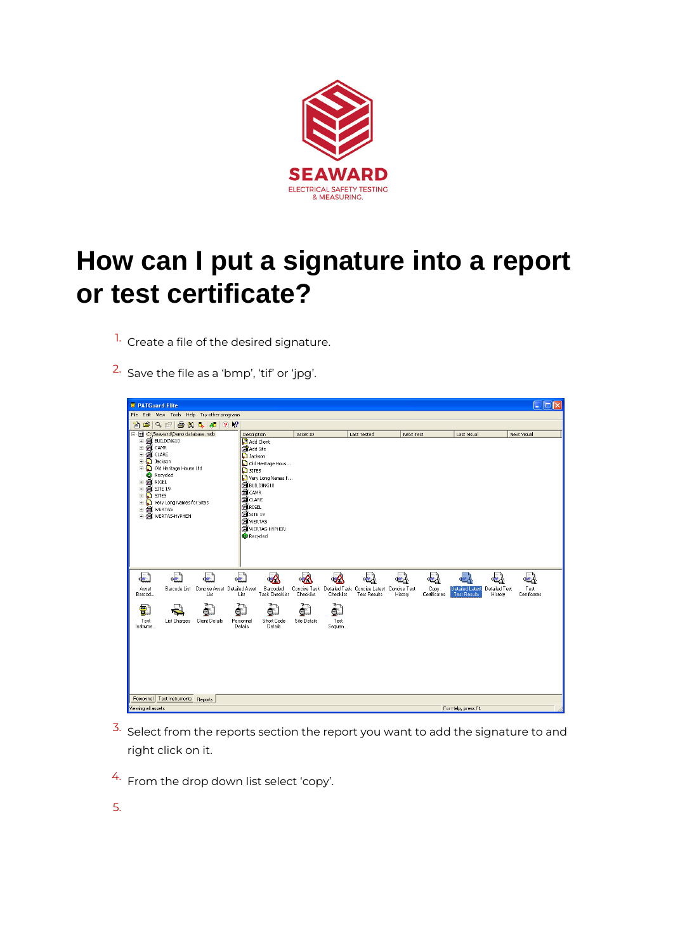

## **How can I put a signature into a report or test certificate?**

- <sup>1.</sup> Create a file of the desired signature.
- 2. Save the file as a 'bmp', 'tif' or 'jpg'.



- $3.5$  Select from the reports section the report you want to add the signature to and right click on it.
- 4. From the drop down list select 'copy'.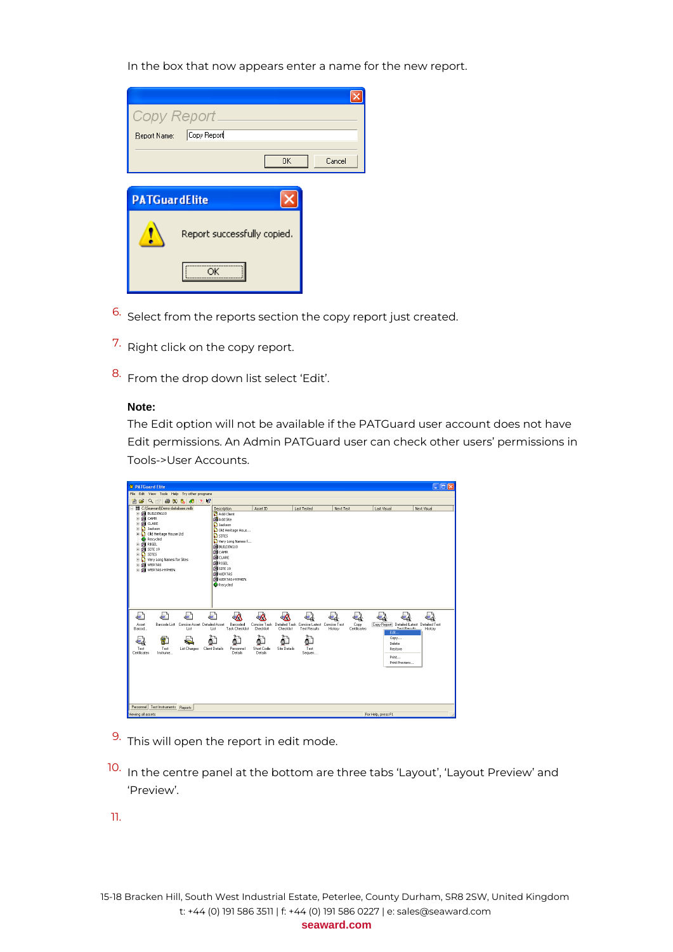In the box that now appears enter a name for the new report.

|                      | Copy Report                 |        |
|----------------------|-----------------------------|--------|
| Report Name:         | Copy Report                 |        |
|                      | 0K                          | Cancel |
|                      |                             |        |
| <b>PATGuardElite</b> |                             |        |
|                      | Report successfully copied. |        |
|                      | OK                          |        |

- 6. Select from the reports section the copy report just created.
- 7. Right click on the copy report.
- 8. From the drop down list select 'Edit'.

## **Note:**

The Edit option will not be available if the PATGuard user account does not have Edit permissions. An Admin PATGuard user can check other users' permissions in Tools->User Accounts.

| <b>E</b> PATGuard Flite                                                                                                                                                                                                                                                                                                        |                                                                                                                                                                                                                                                                                     |                                                                                  |                     |                                      |                                                             | $  \cdot  $ o $  \times$ |
|--------------------------------------------------------------------------------------------------------------------------------------------------------------------------------------------------------------------------------------------------------------------------------------------------------------------------------|-------------------------------------------------------------------------------------------------------------------------------------------------------------------------------------------------------------------------------------------------------------------------------------|----------------------------------------------------------------------------------|---------------------|--------------------------------------|-------------------------------------------------------------|--------------------------|
| File Edit View Tools Help Try other programs                                                                                                                                                                                                                                                                                   |                                                                                                                                                                                                                                                                                     |                                                                                  |                     |                                      |                                                             |                          |
| $ B  \le  A  \le  B  \le  B $<br>$\rightarrow$ 12<br>簡                                                                                                                                                                                                                                                                         |                                                                                                                                                                                                                                                                                     |                                                                                  |                     |                                      |                                                             |                          |
| 图 C:\Seaward\Demo database.mdb<br><b>E GI BUILDING10</b><br>i di came<br>ii dan E<br><b>D</b> Jackson<br>÷.<br><b>Cold Heritage House Ltd</b><br><b>C</b> Recycled<br><b>E FOR RIGEL</b><br>$\pm$ $60$ SITE 19<br>$\mathbb{E}$ SITES<br><b>E-D</b> Very Long Names for Sites<br><b>E EL WERTAS</b><br><b>E E</b> WERTAS-HYPHEN | Description<br>Add Client<br><b>B</b> Add Site<br><b>D</b> Jackson<br>Old Heritage Hous<br>$\Omega$ sites<br>Very Long Names F<br>BUILDING10<br><b>EL</b> CAMR<br><b>B</b> CLARE<br><b>B</b> RIGEL<br><b>FEE</b> SITE 19<br><b>EL</b> WERTAS<br><b>ED WERTAS-HYPHEN</b><br>Recycled | Asset ID                                                                         | <b>Last Tested</b>  | Next Test                            | <b>Last Visual</b>                                          | Next Visual              |
| ℯ<br>ெ<br>لمحاه<br>Barcode List Concise Asset Detailed Asset<br>Asset<br>Barcod.<br>List                                                                                                                                                                                                                                       | 同<br>Barcoded<br>Task Checklist<br>List                                                                                                                                                                                                                                             | Concise Task Detailed Task Concise Latest Concise Test<br>Checklist<br>Checklist | <b>Test Results</b> | 2<br>Copy<br>History<br>Certificates | Copy Report Detailed Latest Detailed Test<br>Test Rends     | History                  |
| 7<br>Test<br>Test<br>List Charges<br>Certificates<br>Instrume                                                                                                                                                                                                                                                                  | <b>Client Details</b><br>Personnel<br>Details                                                                                                                                                                                                                                       | Site Details<br><b>Short Code</b><br>Details                                     | Test<br>Sequen      |                                      | Edit<br>Copy<br>Delete<br>Restore<br>Print<br>Print Preview |                          |
| Personnel Test Instruments Reports                                                                                                                                                                                                                                                                                             |                                                                                                                                                                                                                                                                                     |                                                                                  |                     |                                      |                                                             |                          |
| Viewing all assets                                                                                                                                                                                                                                                                                                             |                                                                                                                                                                                                                                                                                     |                                                                                  |                     |                                      | For Help, press F1                                          |                          |

- 9. This will open the report in edit mode.
- 10. In the centre panel at the bottom are three tabs 'Layout', 'Layout Preview' and 'Preview'.
- 11.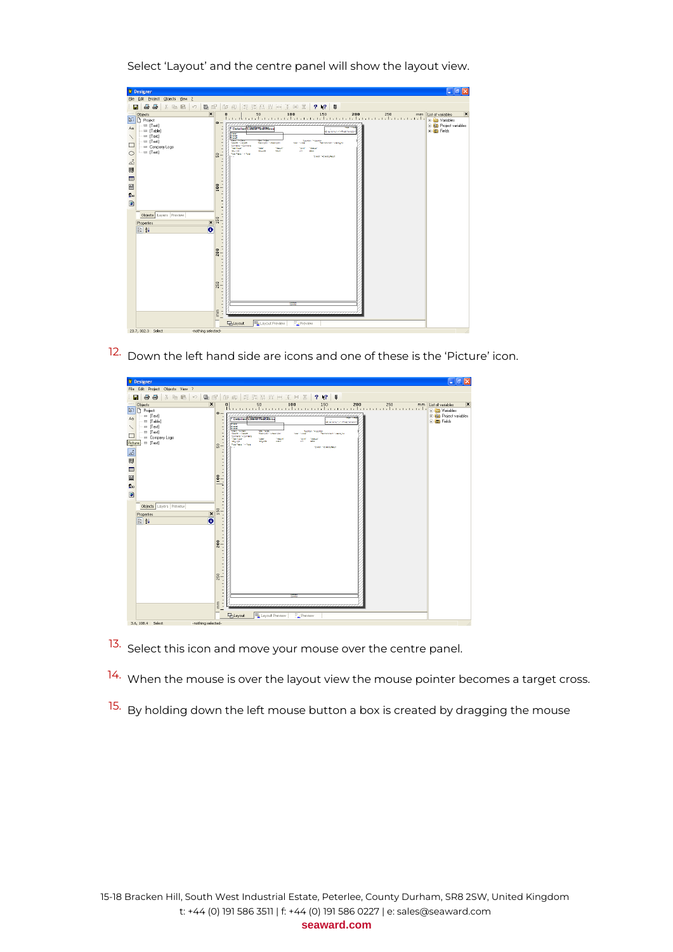jle Edit Broject<br>- 日 음종  $\boxed{\Xi}$  | **?** \\tep | U a a  $\Box$  $\frac{250}{250}$ 100  $50$ P 国 国 信 ト 〇 ロ / A F ロ [Text]<br>[Table<br>[Text]<br>[Text] **Teachers** le.  $\frac{8}{2}$  $\overline{\bullet}$ Objects **S** Propertie  $200$  $250$  $\frac{\epsilon}{\epsilon}$ E<sub>1</sub> Layout 23.7, 302.3 Sel

Select 'Layout' and the centre panel will show the layout view.

12. Down the left hand side are icons and one of these is the 'Picture' icon.

| <sup>8</sup> Designer                                                                                                                                                                                                                                                                                                                                                                                       | $\Box$ e $\boxtimes$                                                                                                                                                                                                                                                                                                                                                                                                                                                                                                                                                                                                                                                                                                                                                                                                                                                                                                                        |
|-------------------------------------------------------------------------------------------------------------------------------------------------------------------------------------------------------------------------------------------------------------------------------------------------------------------------------------------------------------------------------------------------------------|---------------------------------------------------------------------------------------------------------------------------------------------------------------------------------------------------------------------------------------------------------------------------------------------------------------------------------------------------------------------------------------------------------------------------------------------------------------------------------------------------------------------------------------------------------------------------------------------------------------------------------------------------------------------------------------------------------------------------------------------------------------------------------------------------------------------------------------------------------------------------------------------------------------------------------------------|
| File Edit Project Objects View ?                                                                                                                                                                                                                                                                                                                                                                            |                                                                                                                                                                                                                                                                                                                                                                                                                                                                                                                                                                                                                                                                                                                                                                                                                                                                                                                                             |
| 8<br>人取職<br>Ð<br>52                                                                                                                                                                                                                                                                                                                                                                                         | 临乱<br>$?$ $\sqrt{?}$ 0                                                                                                                                                                                                                                                                                                                                                                                                                                                                                                                                                                                                                                                                                                                                                                                                                                                                                                                      |
| 目記<br>н<br>$\pmb{\times}$<br>1.1.1.1<br><b>Objects</b><br>$\overline{\mathbb{R}^3}$<br>n Project<br>= [Text]<br>Aa<br>m [Table]<br>$m$ [Text]<br>$\checkmark$<br>= [Text]<br>$\Box$<br>m Company Logo<br>Picture <sup>1</sup><br>$=$ [Text]<br>$\frac{1}{\sqrt{2}}$<br>唧<br>œ<br>囶<br>$\mathbf{g}_n$<br>$\bullet$<br>Objects Layers Preview<br>$\boldsymbol{\mathsf{x}}$<br>Properties<br>$\bullet$<br>图 24 | 能载情媒网变网图<br>50<br>100<br>200<br>250<br>$\boldsymbol{\mathsf{x}}$<br>$\bf{0}$<br>150<br>List of variables<br>mm<br>Thur<br>E Ca Variables<br>$\bullet$<br>-<br><b>E C</b> Project variables<br>Detailed Latest Teat Resu<br><b>E In</b> Fields<br><b>D. N. MINOR THOMAS TRANS</b><br>Stewart<br>Stewart<br>Manager von Laure<br>٠<br>×<br>24.742<br>Secretary 1-Learning<br>٠<br><b>General Financia</b><br>Georgian Tedescripton<br>Technology 14 Bridges<br><b>Sales To Stage</b><br><b>Sonners - Conners</b><br>٠.<br><b>Text Type"</b><br><b>DOM:</b><br><b>Security</b><br><b>TOWN</b><br><b>TALK</b><br>$\overline{a}$<br>445, 1704<br>10052019<br><b>MARKET</b><br><b>STAR</b><br>50<br>feature 14 feat<br><b>Steph Figure Mean</b><br>×,<br>×,<br>$\overline{\phantom{a}}$<br>$\frac{1}{2}$<br>100<br>J.<br>÷<br>$\overline{\phantom{a}}$<br>ä,<br>ł.<br>150<br>۰<br>٠<br>×.<br>٠<br>×.<br>$\qquad \qquad -$<br>ł.<br>٠<br>ł.<br>200 |
|                                                                                                                                                                                                                                                                                                                                                                                                             | J.<br>٠<br>×,<br><b>CONTRACTOR</b><br>250<br>÷<br>×.<br>$\overline{\phantom{a}}$<br>$\frac{1}{2}$<br><b>Conce</b><br>ł,<br>mm<br>٠<br><b>E</b> hlayout<br>Preview<br>Layout Preview                                                                                                                                                                                                                                                                                                                                                                                                                                                                                                                                                                                                                                                                                                                                                         |

- 13. Select this icon and move your mouse over the centre panel.
- <sup>14.</sup> When the mouse is over the layout view the mouse pointer becomes a target cross.
- <sup>15.</sup> By holding down the left mouse button a box is created by dragging the mouse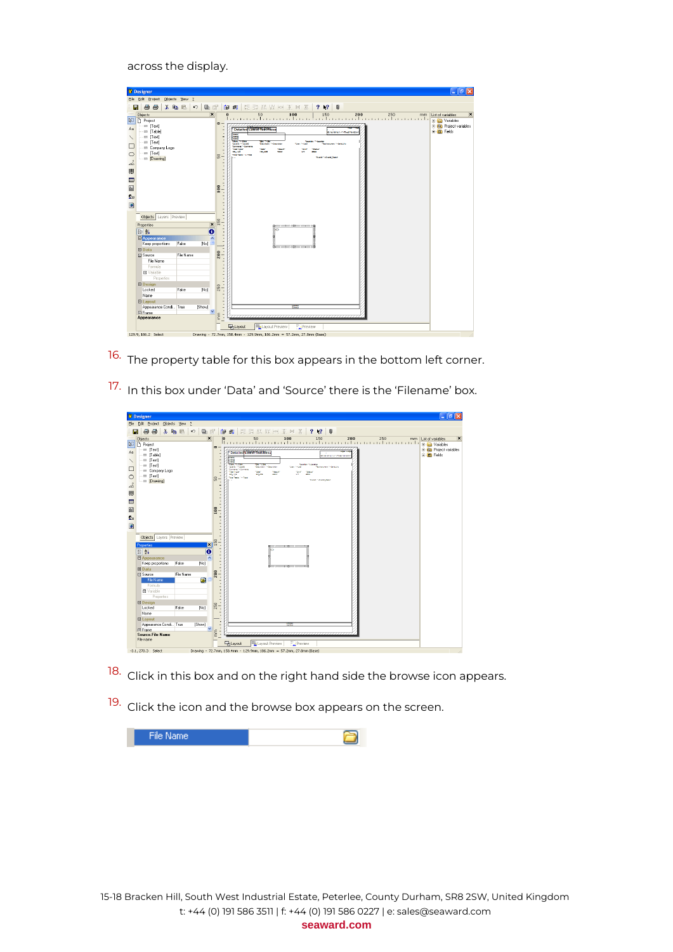across the display.

|                                                                               | <b>B</b> Designer                                                                                                                                                                                                                                                                           |                             |                                                                      |                                                                                   |                                                                                                                                                                                                                                                                                                                                                                                          | $ \mathbf{e}$ $\mathbf{x}$                                                                                         |
|-------------------------------------------------------------------------------|---------------------------------------------------------------------------------------------------------------------------------------------------------------------------------------------------------------------------------------------------------------------------------------------|-----------------------------|----------------------------------------------------------------------|-----------------------------------------------------------------------------------|------------------------------------------------------------------------------------------------------------------------------------------------------------------------------------------------------------------------------------------------------------------------------------------------------------------------------------------------------------------------------------------|--------------------------------------------------------------------------------------------------------------------|
|                                                                               | Elle Edit Project Objects View ?                                                                                                                                                                                                                                                            |                             |                                                                      |                                                                                   |                                                                                                                                                                                                                                                                                                                                                                                          |                                                                                                                    |
| Θ                                                                             | 噕<br>$\triangleq$                                                                                                                                                                                                                                                                           | 人名尼                         | 马窗<br>$\sqrt{2}$                                                     |                                                                                   | 能动林以 m 3 m 8<br>2 N2 0<br>19 風                                                                                                                                                                                                                                                                                                                                                           |                                                                                                                    |
| 1111<br><b>N</b><br>Aa<br>□<br>$\circ$<br>$\mathbb{R}^3$<br>覵<br>œ<br>謦<br>g, | Objects<br>n Project<br>[Text]<br>m [Table]<br><b>ER</b> [Text]<br>$=$ [Text]<br>## Company Logo<br>= [Text]<br>- III [Drawing]                                                                                                                                                             |                             | $\overline{\mathbf{x}}$                                              | $\bullet$<br>٠<br>္တ<br>۰<br>×,<br>×,<br>÷,<br><b>SO1</b>                         | $\overline{0}$<br>Detailed Lawit Test Resu<br><b>ID. No. 107 N/Ty - 11-Time Entertain</b><br>疆<br><b><i><u>View Techni</u></i></b><br><b>September</b><br>GALLET - GALLET<br>Description 1+Descriptio<br><b>NATIVE FOR THE SHOE PIX</b><br>Conners <sup>1</sup> - Conners<br><b>Test Fase"</b><br>w<br><b>MELTIN</b><br><b>MELTER</b><br>Malinda 14 Tak<br><b>Oracle F-Oracle Result</b> | $\boldsymbol{\mathsf{x}}$<br>List of variables<br>E Co Variables<br><b>ED</b> Project variables<br><b>E</b> Fields |
| $\bullet$                                                                     | Objects Layers Preview<br>Properties<br>■ 2↓<br><b>E</b> Appearance<br>Keep proportions<br>$\Box$ Data<br>□ Source<br>File Name<br>Formula<br><b>El</b> Variable<br>Properties<br><b>ED</b> Design<br>Locked<br>Name<br><b>El Layout</b><br>Appearance Condi True<br>Fi Frame<br>Appearance | False<br>File Name<br>False | $\vert x \vert$<br>$\overline{\mathbf{e}}$<br>[No]<br>[No]<br>[Show] | 50<br>급<br>200<br>J.<br>۰<br>٠<br>×,<br>٠<br>250<br>$\overline{\phantom{a}}$<br>E | пононоположения<br>80<br><b>B</b> oomoonso Brooklondo<br><b>Control</b>                                                                                                                                                                                                                                                                                                                  |                                                                                                                    |
|                                                                               |                                                                                                                                                                                                                                                                                             |                             |                                                                      |                                                                                   | <b>E</b> Layout<br>Layout Preview<br>Preview                                                                                                                                                                                                                                                                                                                                             |                                                                                                                    |
|                                                                               | 129.9, 186.2 Select                                                                                                                                                                                                                                                                         |                             |                                                                      |                                                                                   | Drawing - 72.7mm, 158.4mm - 129.9mm, 186.2mm = 57.2mm, 27.8mm (Base)                                                                                                                                                                                                                                                                                                                     |                                                                                                                    |

- 16. The property table for this box appears in the bottom left corner.
- 17. In this box under 'Data' and 'Source' there is the 'Filename' box.

|                                                                                                     | <b>E</b> Designer                                                                                                                                                                                                                            |                                                                                                                                                                                                                         | $\lfloor - \ \varpi\  \times$                                                                                                                                                                                                                                                                                                                                                                                                                                                                                              |
|-----------------------------------------------------------------------------------------------------|----------------------------------------------------------------------------------------------------------------------------------------------------------------------------------------------------------------------------------------------|-------------------------------------------------------------------------------------------------------------------------------------------------------------------------------------------------------------------------|----------------------------------------------------------------------------------------------------------------------------------------------------------------------------------------------------------------------------------------------------------------------------------------------------------------------------------------------------------------------------------------------------------------------------------------------------------------------------------------------------------------------------|
|                                                                                                     | File Edit Project Objects View ?                                                                                                                                                                                                             |                                                                                                                                                                                                                         |                                                                                                                                                                                                                                                                                                                                                                                                                                                                                                                            |
| н                                                                                                   | 人名尼<br>Ð<br>Ð<br>$\sqrt{2}$                                                                                                                                                                                                                  | 西图                                                                                                                                                                                                                      | 修長 距鼓菇蛙阿克阿图<br>2 <sup>12</sup><br>u                                                                                                                                                                                                                                                                                                                                                                                                                                                                                        |
| 1111                                                                                                | Objects                                                                                                                                                                                                                                      | $\pmb{\times}$                                                                                                                                                                                                          | $\mathbf{x}$<br>List of variables<br>mm                                                                                                                                                                                                                                                                                                                                                                                                                                                                                    |
| $\overline{\mathbb{R}}$<br>Aa<br>□<br>$\circ$<br>å.<br>卿<br>œ<br>囶<br>$\Omega_{\rm B}$<br>$\bullet$ | <b>Project</b><br>m [Text]<br>m [Table]<br>m [Text]<br>= [Text]<br>El Company Logo<br>m [Text]<br>- III [Drawing]                                                                                                                            | $\bullet$<br>٠<br>×,<br>$\overline{a}$<br>$\overline{\phantom{a}}$<br>٠<br>×,<br>50<br>$\overline{\phantom{0}}$<br>×,<br>÷,<br>×,<br>$\overline{a}$<br>$\overline{\phantom{a}}$<br>t<br>100<br>÷<br>i,<br>٠<br>٠.<br>×, | H Co Variables<br>Project variables<br>Detailed Latest Teet Resu<br><b>E Im</b> Fields<br><b>Quick Markets of School Chevrolet</b><br><b>Stew</b><br><b>Bank</b><br><b>Since Friday</b><br><b>Designation</b><br>Sandan<br>Testimony - Described<br>General 1- Green<br>Testifationen: 1- Senativo<br><b>State Falling</b><br>Commercial Commercial<br><b>Text Type"</b><br><b>Sec</b><br>73.4<br><b>TELEVISION</b><br><b>ALCOHOL</b><br><b>ACLASS</b><br><b>Hard</b><br><b>Marchant Carloss</b><br><b>West Foundation</b> |
|                                                                                                     | Objects Layers Preview<br>Properties<br>FD 94<br><b>El Appearance</b><br>Keep proportions<br>[No]<br>False<br>$\boxminus$ Data<br>El Source<br>File Name<br>Θ<br>File Name<br>Formula<br><b>El</b> Variable<br>Properties<br><b>E</b> Design | j<br>50<br>$\overline{\mathbf{x}}$<br>$\bullet$<br>÷<br>$\hat{\phantom{a}}$<br>$\overline{a}$<br>$\overline{\phantom{a}}$<br>$\overline{\phantom{a}}$<br>200<br>۳<br>٠<br>٠<br>٠<br>÷<br>ł,                             | писозницивание созп                                                                                                                                                                                                                                                                                                                                                                                                                                                                                                        |
|                                                                                                     | Locked<br>False<br>[No]<br>Name<br><b>El Layout</b><br>Appearance Condi True<br>[Show]<br>Fi Frame<br><b>Source.File Name</b><br>File name<br>$-3.1, 270.3$ Select                                                                           | 250<br>t<br>$\overline{a}$<br>×,<br>×,<br>$\overline{a}$<br>Ë<br>t                                                                                                                                                      | <b>Beatt</b><br><b>El Layout</b><br>Layout Preview<br>Preview<br>Drawing - 72.7mm, 158.4mm - 129.9mm, 186.2mm = 57.2mm, 27.8mm (Base)                                                                                                                                                                                                                                                                                                                                                                                      |

- 18. Click in this box and on the right hand side the browse icon appears.
- 19. Click the icon and the browse box appears on the screen.

| (File Name) |  |
|-------------|--|
|             |  |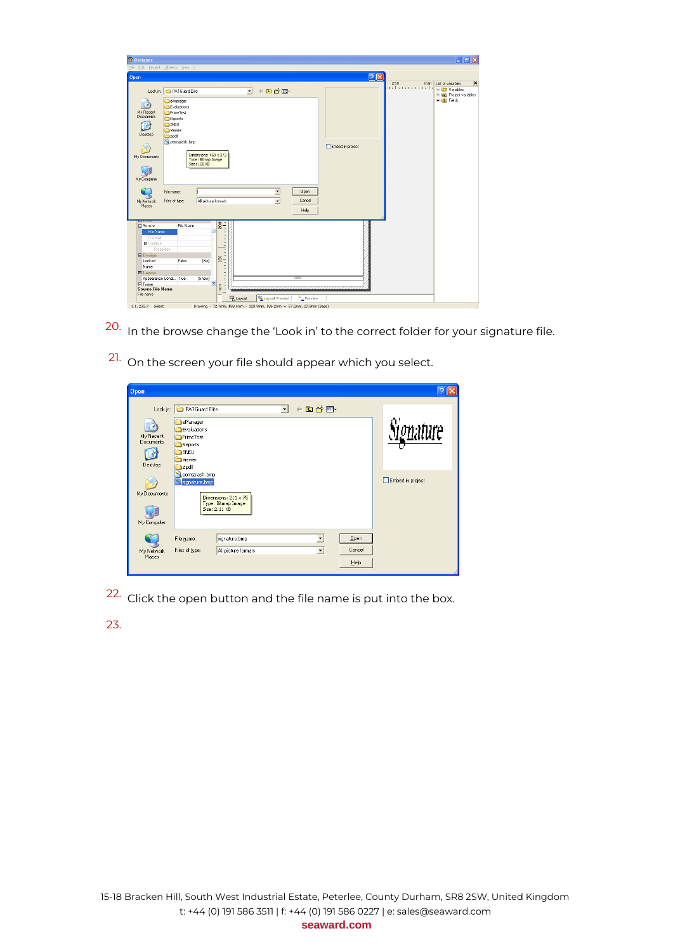| <b>Designer</b>                                                                                                                           |                                                                                                                                                                          |                                                                                                            |                        | $ \sigma$ $x$                                                                                                              |
|-------------------------------------------------------------------------------------------------------------------------------------------|--------------------------------------------------------------------------------------------------------------------------------------------------------------------------|------------------------------------------------------------------------------------------------------------|------------------------|----------------------------------------------------------------------------------------------------------------------------|
| Eile Edit Project Objects View 2                                                                                                          |                                                                                                                                                                          |                                                                                                            |                        |                                                                                                                            |
| Open                                                                                                                                      |                                                                                                                                                                          |                                                                                                            | $\sqrt{2 \mathbf{x} }$ |                                                                                                                            |
| Look in:                                                                                                                                  | PATGuard Elite                                                                                                                                                           | $+$ 0 * $\blacksquare$<br>$\vert \cdot \vert$                                                              |                        | $\overline{\mathbf{x}}$<br>250<br>List of variables<br>mm<br>ndan manala<br>The Variables<br><b>E</b> Co Project variables |
| My Recent<br>Documents<br>SNEU<br>R<br>Viewer<br>Desktop<br>ch zipdl<br>My Documents<br>My Computer<br>File name:<br>My Network<br>Places | eManager<br>Evaluations<br>PrimeTest<br>Reports<br>oemsplash.bmp<br>Dimensions: 459 x 373<br>Type: Bitmap Image<br>Size: 168 KB<br>Files of type:<br>All picture formats | ≖<br>Open<br>Cancel<br>$\overline{\phantom{a}}$<br>Help                                                    | Embed in project       | <b>E m</b> Fields                                                                                                          |
| <b>□</b> Source<br>File Name<br>Formula                                                                                                   | File Name                                                                                                                                                                | 200<br>t                                                                                                   |                        |                                                                                                                            |
| <b>El</b> Variable<br>Properties<br><b>El Design</b><br>Locked<br>Name                                                                    | [No]<br>False                                                                                                                                                            | t,<br>250<br>$\overline{\phantom{a}}$<br>-                                                                 |                        |                                                                                                                            |
| E Layout<br>Appearance Condi True<br><b>Fil Frame</b><br>Source.File Name                                                                 | [Show]<br>v                                                                                                                                                              | $\frac{1}{2}$<br><b>Control</b><br>Ë<br>t                                                                  |                        |                                                                                                                            |
| File name<br>Select<br>1.1.232.7                                                                                                          |                                                                                                                                                                          | Layout Preview<br><b>Th</b> Layout<br>Drawing - 72.7mm, 158.4mm - 129.9mm, 186.2mm = 57.2mm, 27.8mm (Base) | Preview                |                                                                                                                            |

- 20. In the browse change the 'Look in' to the correct folder for your signature file.
- 21. On the screen your file should appear which you select.

| Open                                          |                                                                                                |                                                                    |                          |                                                  |                      |                  |
|-----------------------------------------------|------------------------------------------------------------------------------------------------|--------------------------------------------------------------------|--------------------------|--------------------------------------------------|----------------------|------------------|
| Look in:<br>My Recent<br>Documents<br>Desktop | PATGuard Elite<br>eManager<br>Evaluations<br>PrimeTest<br>Reports<br>SNEU<br>Wiewer<br>azipdll |                                                                    | $\overline{\phantom{a}}$ | 白首丽<br>$\leftarrow$                              |                      | nenature         |
| My Documents<br>My Computer                   | oemsplash.bmp<br>signature.bmp                                                                 | Dimensions: $211 \times 75$<br>Type: Bitmap Image<br>Size: 2.11 KB |                          |                                                  |                      | Embed in project |
| My Network<br>Places                          | File name:<br>Files of type:                                                                   | signature.bmp<br>All picture formats                               |                          | $\blacktriangledown$<br>$\overline{\phantom{a}}$ | Qpen<br>Cancel<br>He |                  |

22. Click the open button and the file name is put into the box.

23.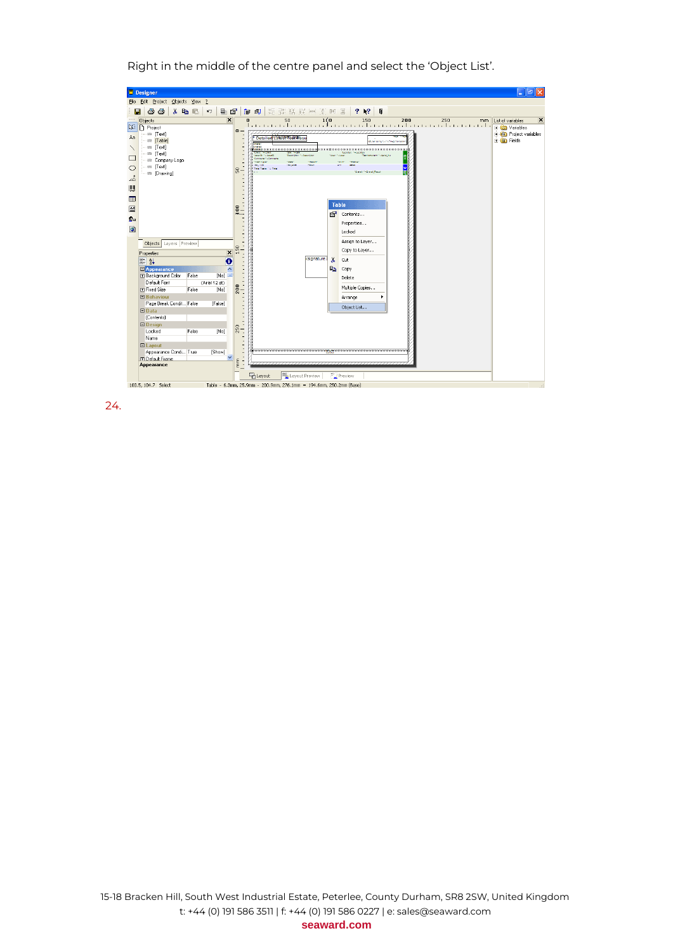$\Box$ e $\mathsf{X}$ **Designer** File Edit Project Objects View ? 日子三十五日十月日十日日  $\frac{2}{3}$  [o]  $\frac{1}{2}$  $?$   $\sqrt{?}$  0  $\overline{\mathbf{x}}$ × "∣ 88<br>2 DRRRRRRR<br>مئا<br>New 1- See  $\parallel_{\mathbb{S}}$  –  $\blacksquare$ Table  $\frac{1}{2}$ 图 Gontents... 20 Properties...  $\bullet$ Locked Assign to Layer... Objects Layers Preview Properties<br> **Experience**<br> **Experience**<br> **Experience**<br> **Experience**<br> **Default Font**<br> **Experience**<br> **Experience**  $\overline{\mathbf{x}}$   $\overline{\mathbb{E}}$ Copy to Layer... signature.t & Cut  $\overline{\mathbf{e}}$ **Ra** Copy **False** [No]<br>(Arial 12 pt)<br>[No] Delete False 200 Multiple Copies.. El Fixed size<br>
El Behaviour<br>
Page Break Condit... False<br>
El Data<br>
(Contents)<br>
El Design<br>
El Design<br>
Contents<br>
El Design<br>
Contents Arrange **False** Object List. El Design<br>
Locked<br>
Name<br>
El Layout<br>
Appearance Condi... True<br>
Fi Default Frame<br>
Appearance  $[{\sf No}]$  $\frac{250}{3}$ [Show]  $\ddotmark$  $\frac{e}{\epsilon}$ Eg Layout Layout Preview  $=$  Previe 100.5, 104.7 Select Table - 6.3mm, 25.9mm - 200.9mm, 276.1mm = 194.6mm, 250.2mm (Base)

Right in the middle of the centre panel and select the 'Object List'.

24.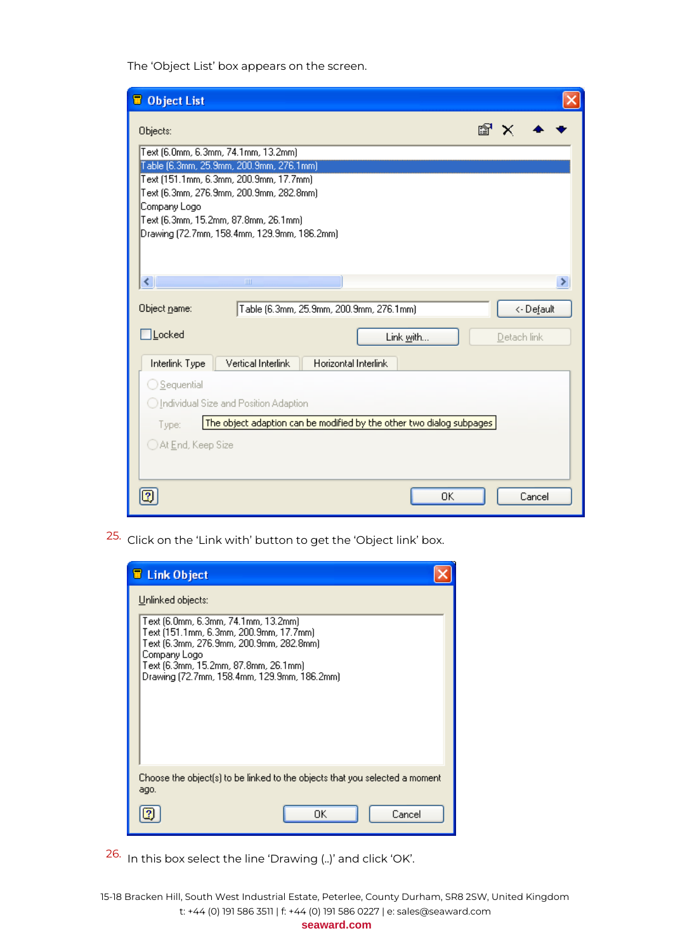The 'Object List' box appears on the screen.

| <b>D</b> Object List                                                                                                                                                                                                                                                                   |                                                 |
|----------------------------------------------------------------------------------------------------------------------------------------------------------------------------------------------------------------------------------------------------------------------------------------|-------------------------------------------------|
| Objects:<br>Text (6.0mm, 6.3mm, 74.1mm, 13.2mm)<br>Table (6.3mm, 25.9mm, 200.9mm, 276.1mm)<br>Text (151.1mm, 6.3mm, 200.9mm, 17.7mm)<br>Text (6.3mm, 276.9mm, 200.9mm, 282.8mm)<br>Company Logo<br>Text (6.3mm, 15.2mm, 87.8mm, 26.1mm)<br>Drawing (72.7mm, 158.4mm, 129.9mm, 186.2mm) | rt.                                             |
| ≮∣<br>$\mathbf{III}$<br>Object name:<br>Table (6.3mm, 25.9mm, 200.9mm, 276.1mm)<br>$\exists$ Locked<br>Vertical Interlink<br>Horizontal Interlink<br>Interlink Type                                                                                                                    | <- De <u>f</u> ault<br>Link with<br>Detach link |
| ◯ Sequential<br>◯ Individual Size and Position Adaption<br>The object adaption can be modified by the other two dialog subpages<br>Type:<br>◯ At End, Keep Size                                                                                                                        | OΚ<br>Cancel                                    |

25. Click on the 'Link with' button to get the 'Object link' box.



26. In this box select the line 'Drawing (..)' and click 'OK'.

15-18 Bracken Hill, South West Industrial Estate, Peterlee, County Durham, SR8 2SW, United Kingdom t: +44 (0) 191 586 3511 | f: +44 (0) 191 586 0227 | e: sales@seaward.com **seaward.com**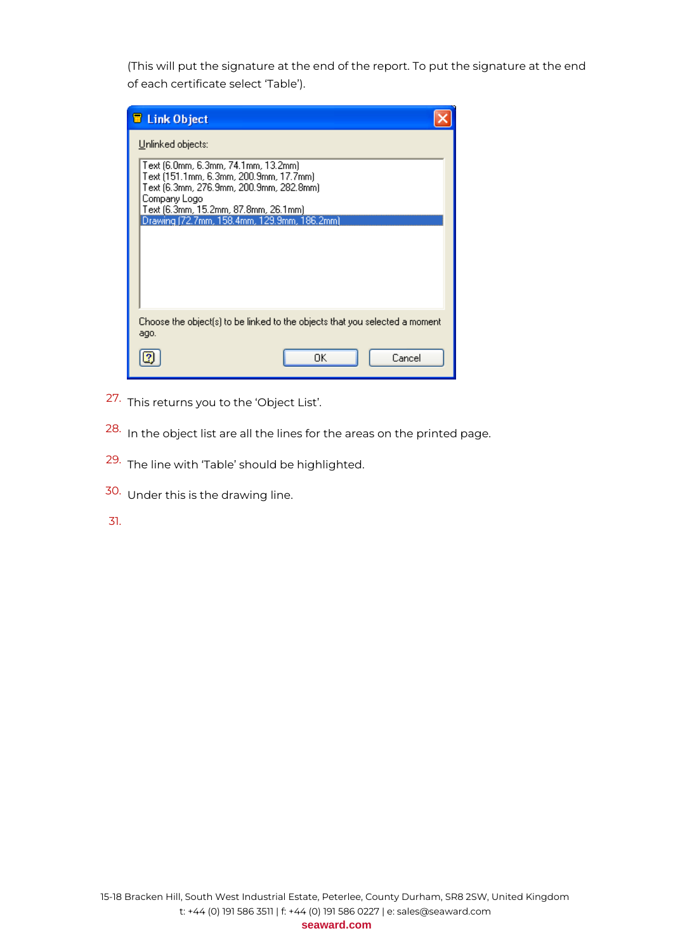(This will put the signature at the end of the report. To put the signature at the end of each certificate select 'Table').

| <b>E</b> Link Object                                                                                                                                                                                                                                   |        |
|--------------------------------------------------------------------------------------------------------------------------------------------------------------------------------------------------------------------------------------------------------|--------|
| Unlinked objects:<br>Text (6.0mm, 6.3mm, 74.1mm, 13.2mm).<br>Text (151.1mm, 6.3mm, 200.9mm, 17.7mm).<br>Text (6.3mm, 276.9mm, 200.9mm, 282.8mm)<br>Company Logo<br>Text (6.3mm, 15.2mm, 87.8mm, 26.1mm)<br>Drawing (72.7mm, 158.4mm, 129.9mm, 186.2mm) |        |
| Choose the object(s) to be linked to the objects that you selected a moment<br>ago.                                                                                                                                                                    |        |
| ΟK                                                                                                                                                                                                                                                     | Cancel |

- 27. This returns you to the 'Object List'.
- 28. In the object list are all the lines for the areas on the printed page.
- 29. The line with 'Table' should be highlighted.
- 30. Under this is the drawing line.
- 31.